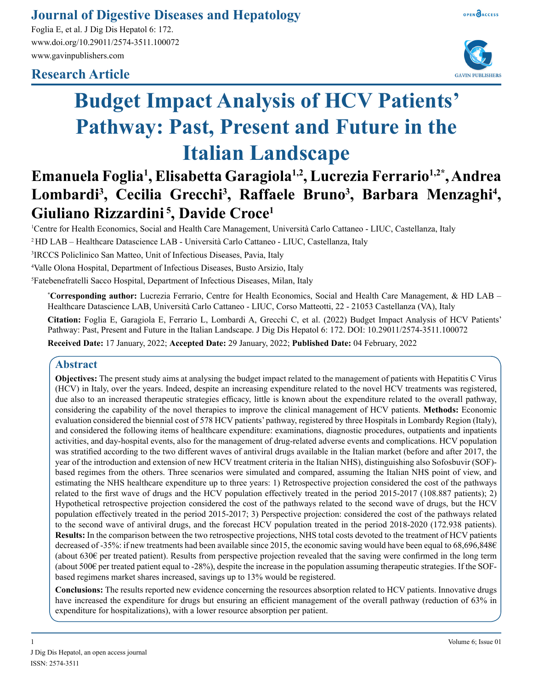## **Journal of Digestive Diseases and Hepatology**

Foglia E, et al. J Dig Dis Hepatol 6: 172. www.doi.org/10.29011/2574-3511.100072 www.gavinpublishers.com

### **Research Article**





# **Budget Impact Analysis of HCV Patients' Pathway: Past, Present and Future in the Italian Landscape**

# **Emanuela Foglia1 , Elisabetta Garagiola1,2, Lucrezia Ferrario1,2\*, Andrea**  Lombardi<sup>3</sup>, Cecilia Grecchi<sup>3</sup>, Raffaele Bruno<sup>3</sup>, Barbara Menzaghi<sup>4</sup>, **Giuliano Rizzardini 5, Davide Croce1**

1 Centre for Health Economics, Social and Health Care Management, Università Carlo Cattaneo - LIUC, Castellanza, Italy

2 HD LAB – Healthcare Datascience LAB - Università Carlo Cattaneo - LIUC, Castellanza, Italy

3 IRCCS Policlinico San Matteo, Unit of Infectious Diseases, Pavia, Italy

4 Valle Olona Hospital, Department of Infectious Diseases, Busto Arsizio, Italy

5 Fatebenefratelli Sacco Hospital, Department of Infectious Diseases, Milan, Italy

**\* Corresponding author:** Lucrezia Ferrario, Centre for Health Economics, Social and Health Care Management, & HD LAB – Healthcare Datascience LAB, Università Carlo Cattaneo - LIUC, Corso Matteotti, 22 - 21053 Castellanza (VA), Italy

**Citation:** Foglia E, Garagiola E, Ferrario L, Lombardi A, Grecchi C, et al. (2022) Budget Impact Analysis of HCV Patients' Pathway: Past, Present and Future in the Italian Landscape. J Dig Dis Hepatol 6: 172. DOI: 10.29011/2574-3511.100072

**Received Date:** 17 January, 2022; **Accepted Date:** 29 January, 2022; **Published Date:** 04 February, 2022

#### **Abstract**

**Objectives:** The present study aims at analysing the budget impact related to the management of patients with Hepatitis C Virus (HCV) in Italy, over the years. Indeed, despite an increasing expenditure related to the novel HCV treatments was registered, due also to an increased therapeutic strategies efficacy, little is known about the expenditure related to the overall pathway, considering the capability of the novel therapies to improve the clinical management of HCV patients. **Methods:** Economic evaluation considered the biennial cost of 578 HCV patients' pathway, registered by three Hospitals in Lombardy Region (Italy), and considered the following items of healthcare expenditure: examinations, diagnostic procedures, outpatients and inpatients activities, and day-hospital events, also for the management of drug-related adverse events and complications. HCV population was stratified according to the two different waves of antiviral drugs available in the Italian market (before and after 2017, the year of the introduction and extension of new HCV treatment criteria in the Italian NHS), distinguishing also Sofosbuvir (SOF) based regimes from the others. Three scenarios were simulated and compared, assuming the Italian NHS point of view, and estimating the NHS healthcare expenditure up to three years: 1) Retrospective projection considered the cost of the pathways related to the first wave of drugs and the HCV population effectively treated in the period 2015-2017 (108.887 patients); 2) Hypothetical retrospective projection considered the cost of the pathways related to the second wave of drugs, but the HCV population effectively treated in the period 2015-2017; 3) Perspective projection: considered the cost of the pathways related to the second wave of antiviral drugs, and the forecast HCV population treated in the period 2018-2020 (172.938 patients). **Results:** In the comparison between the two retrospective projections, NHS total costs devoted to the treatment of HCV patients decreased of -35%: if new treatments had been available since 2015, the economic saving would have been equal to 68,696,848€ (about 630€ per treated patient). Results from perspective projection revealed that the saving were confirmed in the long term (about 500 $\epsilon$  per treated patient equal to -28%), despite the increase in the population assuming therapeutic strategies. If the SOFbased regimens market shares increased, savings up to 13% would be registered.

**Conclusions:** The results reported new evidence concerning the resources absorption related to HCV patients. Innovative drugs have increased the expenditure for drugs but ensuring an efficient management of the overall pathway (reduction of 63% in expenditure for hospitalizations), with a lower resource absorption per patient.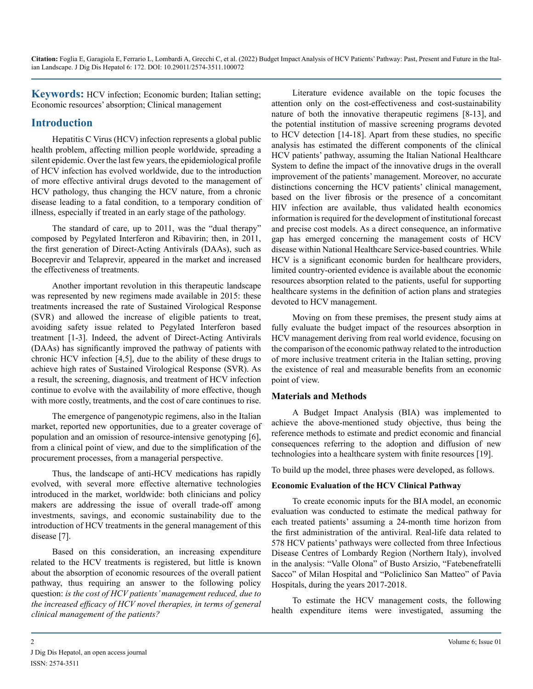**Keywords:** HCV infection; Economic burden; Italian setting; Economic resources' absorption; Clinical management

#### **Introduction**

Hepatitis C Virus (HCV) infection represents a global public health problem, affecting million people worldwide, spreading a silent epidemic. Over the last few years, the epidemiological profile of HCV infection has evolved worldwide, due to the introduction of more effective antiviral drugs devoted to the management of HCV pathology, thus changing the HCV nature, from a chronic disease leading to a fatal condition, to a temporary condition of illness, especially if treated in an early stage of the pathology.

The standard of care, up to 2011, was the "dual therapy" composed by Pegylated Interferon and Ribavirin; then, in 2011, the first generation of Direct-Acting Antivirals (DAAs), such as Boceprevir and Telaprevir, appeared in the market and increased the effectiveness of treatments.

Another important revolution in this therapeutic landscape was represented by new regimens made available in 2015: these treatments increased the rate of Sustained Virological Response (SVR) and allowed the increase of eligible patients to treat, avoiding safety issue related to Pegylated Interferon based treatment [1-3]. Indeed, the advent of Direct-Acting Antivirals (DAAs) has significantly improved the pathway of patients with chronic HCV infection [4,5], due to the ability of these drugs to achieve high rates of Sustained Virological Response (SVR). As a result, the screening, diagnosis, and treatment of HCV infection continue to evolve with the availability of more effective, though with more costly, treatments, and the cost of care continues to rise.

The emergence of pangenotypic regimens, also in the Italian market, reported new opportunities, due to a greater coverage of population and an omission of resource-intensive genotyping [6], from a clinical point of view, and due to the simplification of the procurement processes, from a managerial perspective.

Thus, the landscape of anti-HCV medications has rapidly evolved, with several more effective alternative technologies introduced in the market, worldwide: both clinicians and policy makers are addressing the issue of overall trade-off among investments, savings, and economic sustainability due to the introduction of HCV treatments in the general management of this disease [7].

Based on this consideration, an increasing expenditure related to the HCV treatments is registered, but little is known about the absorption of economic resources of the overall patient pathway, thus requiring an answer to the following policy question: *is the cost of HCV patients' management reduced, due to the increased efficacy of HCV novel therapies, in terms of general clinical management of the patients?*

Literature evidence available on the topic focuses the attention only on the cost-effectiveness and cost-sustainability nature of both the innovative therapeutic regimens [8-13], and the potential institution of massive screening programs devoted to HCV detection [14-18]. Apart from these studies, no specific analysis has estimated the different components of the clinical HCV patients' pathway, assuming the Italian National Healthcare System to define the impact of the innovative drugs in the overall improvement of the patients' management. Moreover, no accurate distinctions concerning the HCV patients' clinical management, based on the liver fibrosis or the presence of a concomitant HIV infection are available, thus validated health economics information is required for the development of institutional forecast and precise cost models. As a direct consequence, an informative gap has emerged concerning the management costs of HCV disease within National Healthcare Service-based countries. While HCV is a significant economic burden for healthcare providers, limited country-oriented evidence is available about the economic resources absorption related to the patients, useful for supporting healthcare systems in the definition of action plans and strategies devoted to HCV management.

Moving on from these premises, the present study aims at fully evaluate the budget impact of the resources absorption in HCV management deriving from real world evidence, focusing on the comparison of the economic pathway related to the introduction of more inclusive treatment criteria in the Italian setting, proving the existence of real and measurable benefits from an economic point of view.

#### **Materials and Methods**

A Budget Impact Analysis (BIA) was implemented to achieve the above-mentioned study objective, thus being the reference methods to estimate and predict economic and financial consequences referring to the adoption and diffusion of new technologies into a healthcare system with finite resources [19].

To build up the model, three phases were developed, as follows.

#### **Economic Evaluation of the HCV Clinical Pathway**

To create economic inputs for the BIA model, an economic evaluation was conducted to estimate the medical pathway for each treated patients' assuming a 24-month time horizon from the first administration of the antiviral. Real-life data related to 578 HCV patients' pathways were collected from three Infectious Disease Centres of Lombardy Region (Northern Italy), involved in the analysis: "Valle Olona" of Busto Arsizio, "Fatebenefratelli Sacco" of Milan Hospital and "Policlinico San Matteo" of Pavia Hospitals, during the years 2017-2018.

To estimate the HCV management costs, the following health expenditure items were investigated, assuming the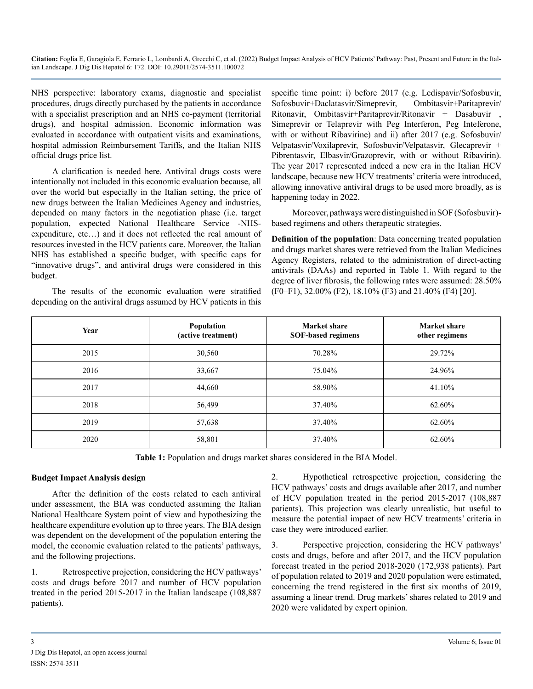NHS perspective: laboratory exams, diagnostic and specialist procedures, drugs directly purchased by the patients in accordance with a specialist prescription and an NHS co-payment (territorial drugs), and hospital admission. Economic information was evaluated in accordance with outpatient visits and examinations, hospital admission Reimbursement Tariffs, and the Italian NHS official drugs price list.

A clarification is needed here. Antiviral drugs costs were intentionally not included in this economic evaluation because, all over the world but especially in the Italian setting, the price of new drugs between the Italian Medicines Agency and industries, depended on many factors in the negotiation phase (i.e. target population, expected National Healthcare Service -NHSexpenditure, etc…) and it does not reflected the real amount of resources invested in the HCV patients care. Moreover, the Italian NHS has established a specific budget, with specific caps for "innovative drugs", and antiviral drugs were considered in this budget.

The results of the economic evaluation were stratified depending on the antiviral drugs assumed by HCV patients in this specific time point: i) before 2017 (e.g. Ledispavir/Sofosbuvir, Sofosbuvir+Daclatasvir/Simeprevir, Ombitasvir+Paritaprevir/ Ritonavir, Ombitasvir+Paritaprevir/Ritonavir + Dasabuvir , Simeprevir or Telaprevir with Peg Interferon, Peg Inteferone, with or without Ribavirine) and ii) after 2017 (e.g. Sofosbuvir/ Velpatasvir/Voxilaprevir, Sofosbuvir/Velpatasvir, Glecaprevir + Pibrentasvir, Elbasvir/Grazoprevir, with or without Ribavirin). The year 2017 represented indeed a new era in the Italian HCV landscape, because new HCV treatments' criteria were introduced, allowing innovative antiviral drugs to be used more broadly, as is happening today in 2022.

Moreover, pathways were distinguished in SOF (Sofosbuvir) based regimens and others therapeutic strategies.

**Definition of the population**: Data concerning treated population and drugs market shares were retrieved from the Italian Medicines Agency Registers, related to the administration of direct-acting antivirals (DAAs) and reported in Table 1. With regard to the degree of liver fibrosis, the following rates were assumed: 28.50% (F0–F1), 32.00% (F2), 18.10% (F3) and 21.40% (F4) [20].

| Year | Population<br>(active treatment) | <b>Market share</b><br><b>SOF-based regimens</b> | Market share<br>other regimens |
|------|----------------------------------|--------------------------------------------------|--------------------------------|
| 2015 | 30,560                           | 70.28%                                           | 29.72%                         |
| 2016 | 33,667                           | 75.04%                                           | 24.96%                         |
| 2017 | 44,660                           | 58.90%                                           | 41.10%                         |
| 2018 | 56,499                           | 37.40%                                           | 62.60%                         |
| 2019 | 57,638                           | 37.40%                                           | 62.60%                         |
| 2020 | 58,801                           | 37.40%                                           | 62.60%                         |

**Table 1:** Population and drugs market shares considered in the BIA Model.

#### **Budget Impact Analysis design**

After the definition of the costs related to each antiviral under assessment, the BIA was conducted assuming the Italian National Healthcare System point of view and hypothesizing the healthcare expenditure evolution up to three years. The BIA design was dependent on the development of the population entering the model, the economic evaluation related to the patients' pathways, and the following projections.

1. Retrospective projection, considering the HCV pathways' costs and drugs before 2017 and number of HCV population treated in the period 2015-2017 in the Italian landscape (108,887 patients).

2. Hypothetical retrospective projection, considering the HCV pathways' costs and drugs available after 2017, and number of HCV population treated in the period 2015-2017 (108,887 patients). This projection was clearly unrealistic, but useful to measure the potential impact of new HCV treatments' criteria in case they were introduced earlier.

3. Perspective projection, considering the HCV pathways' costs and drugs, before and after 2017, and the HCV population forecast treated in the period 2018-2020 (172,938 patients). Part of population related to 2019 and 2020 population were estimated, concerning the trend registered in the first six months of 2019, assuming a linear trend. Drug markets' shares related to 2019 and 2020 were validated by expert opinion.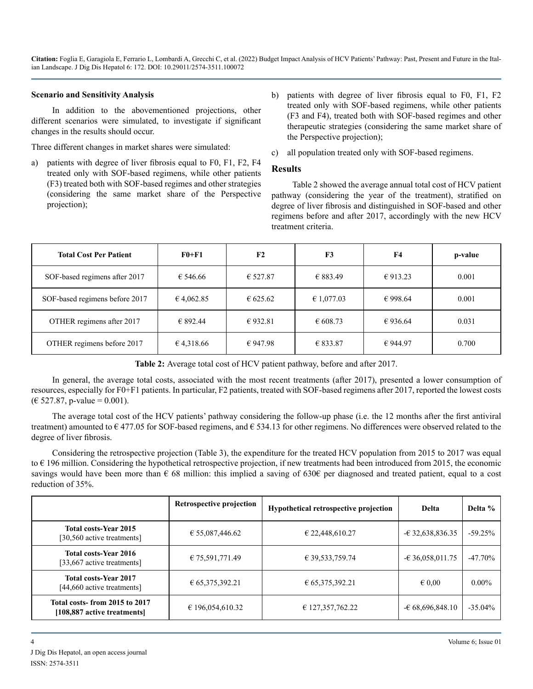#### **Scenario and Sensitivity Analysis**

In addition to the abovementioned projections, other different scenarios were simulated, to investigate if significant changes in the results should occur.

Three different changes in market shares were simulated:

- patients with degree of liver fibrosis equal to F0, F1, F2, F4 treated only with SOF-based regimens, while other patients (F3) treated both with SOF-based regimes and other strategies (considering the same market share of the Perspective projection);
- b) patients with degree of liver fibrosis equal to F0, F1, F2 treated only with SOF-based regimens, while other patients (F3 and F4), treated both with SOF-based regimes and other therapeutic strategies (considering the same market share of the Perspective projection);
- c) all population treated only with SOF-based regimens.

#### **Results**

Table 2 showed the average annual total cost of HCV patient pathway (considering the year of the treatment), stratified on degree of liver fibrosis and distinguished in SOF-based and other regimens before and after 2017, accordingly with the new HCV treatment criteria.

| <b>Total Cost Per Patient</b>  | <b>F0+F1</b> | F2       | F <sub>3</sub> | F4       | p-value |
|--------------------------------|--------------|----------|----------------|----------|---------|
| SOF-based regimens after 2017  | € 546.66     | € 527.87 | € 883.49       | € 913.23 | 0.001   |
| SOF-based regimens before 2017 | € 4,062.85   | € 625.62 | € 1,077.03     | € 998.64 | 0.001   |
| OTHER regimens after 2017      | € 892.44     | € 932.81 | € 608.73       | € 936.64 | 0.031   |
| OTHER regimens before 2017     | € 4,318.66   | € 947.98 | € 833.87       | €944.97  | 0.700   |

Table 2: Average total cost of HCV patient pathway, before and after 2017.

In general, the average total costs, associated with the most recent treatments (after 2017), presented a lower consumption of resources, especially for F0+F1 patients. In particular, F2 patients, treated with SOF-based regimens after 2017, reported the lowest costs  $(\text{\textsterling} 527.87, \text{p-value} = 0.001).$ 

The average total cost of the HCV patients' pathway considering the follow-up phase (i.e. the 12 months after the first antiviral treatment) amounted to  $\epsilon$  477.05 for SOF-based regimens, and  $\epsilon$  534.13 for other regimens. No differences were observed related to the degree of liver fibrosis.

Considering the retrospective projection (Table 3), the expenditure for the treated HCV population from 2015 to 2017 was equal to  $\epsilon$  196 million. Considering the hypothetical retrospective projection, if new treatments had been introduced from 2015, the economic savings would have been more than  $\epsilon$  68 million: this implied a saving of 630 $\epsilon$  per diagnosed and treated patient, equal to a cost reduction of 35%.

|                                                              | Retrospective projection | Hypothetical retrospective projection | Delta             | Delta %    |
|--------------------------------------------------------------|--------------------------|---------------------------------------|-------------------|------------|
| <b>Total costs-Year 2015</b><br>[30,560 active treatments]   | € 55,087,446.62          | € 22,448,610.27                       | $-632,638,836.35$ | $-59.25%$  |
| <b>Total costs-Year 2016</b><br>[33,667 active treatments]   | € 75,591,771.49          | € 39,533,759.74                       | $-636,058,011.75$ | $-47.70\%$ |
| <b>Total costs-Year 2017</b><br>[44,660 active treatments]   | € 65,375,392.21          | € 65,375,392.21                       | $\epsilon$ 0.00   | $0.00\%$   |
| Total costs-from 2015 to 2017<br>[108,887 active treatments] | € 196,054,610.32         | € 127,357,762.22                      | $-68,696,848.10$  | $-35.04\%$ |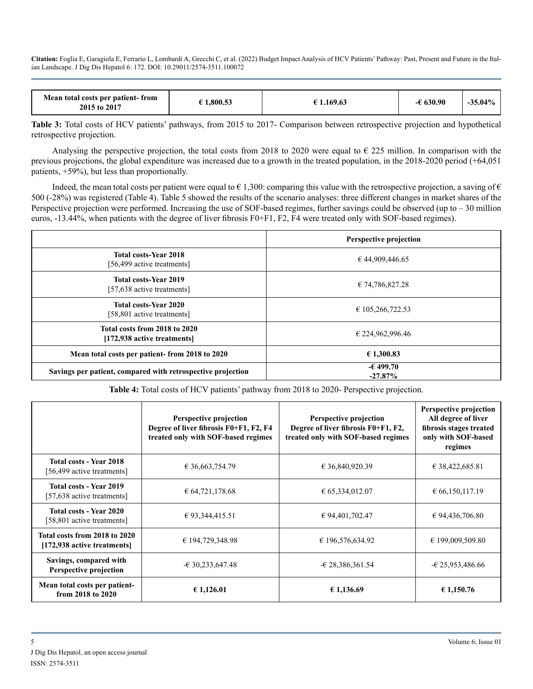| Mean total costs per patient-from<br>2015 to 2017 | 1.800.53 | 1.169.63 | 630.90 | $-35.04\%$ |
|---------------------------------------------------|----------|----------|--------|------------|
|---------------------------------------------------|----------|----------|--------|------------|

**Table 3:** Total costs of HCV patients' pathways, from 2015 to 2017- Comparison between retrospective projection and hypothetical retrospective projection.

Analysing the perspective projection, the total costs from 2018 to 2020 were equal to  $\epsilon$  225 million. In comparison with the previous projections, the global expenditure was increased due to a growth in the treated population, in the 2018-2020 period (+64,051 patients, +59%), but less than proportionally.

Indeed, the mean total costs per patient were equal to  $\epsilon$  1,300: comparing this value with the retrospective projection, a saving of  $\epsilon$ 500 (-28%) was registered (Table 4). Table 5 showed the results of the scenario analyses: three different changes in market shares of the Perspective projection were performed. Increasing the use of SOF-based regimes, further savings could be observed (up to  $-30$  million euros, -13.44%, when patients with the degree of liver fibrosis F0+F1, F2, F4 were treated only with SOF-based regimes).

|                                                              | <b>Perspective projection</b> |
|--------------------------------------------------------------|-------------------------------|
| <b>Total costs-Year 2018</b><br>[56,499 active treatments]   | € 44,909,446.65               |
| <b>Total costs-Year 2019</b><br>[57,638 active treatments]   | € 74,786,827.28               |
| <b>Total costs-Year 2020</b><br>[58,801 active treatments]   | € 105,266,722.53              |
| Total costs from 2018 to 2020<br>[172,938 active treatments] | € 224,962,996.46              |
| Mean total costs per patient-from 2018 to 2020               | €1,300.83                     |
| Savings per patient, compared with retrospective projection  | $-6499.70$<br>$-27.87%$       |

**Table 4:** Total costs of HCV patients' pathway from 2018 to 2020- Perspective projection.

|                                                              | Perspective projection<br>Degree of liver fibrosis F0+F1, F2, F4<br>treated only with SOF-based regimes | <b>Perspective projection</b><br>Degree of liver fibrosis F0+F1, F2,<br>treated only with SOF-based regimes | Perspective projection<br>All degree of liver<br>fibrosis stages treated<br>only with SOF-based<br>regimes |
|--------------------------------------------------------------|---------------------------------------------------------------------------------------------------------|-------------------------------------------------------------------------------------------------------------|------------------------------------------------------------------------------------------------------------|
| <b>Total costs - Year 2018</b><br>[56,499 active treatments] | € 36,663,754.79                                                                                         | € 36,840,920.39                                                                                             | € 38,422,685.81                                                                                            |
| Total costs - Year 2019<br>[57,638 active treatments]        | € 64,721,178.68                                                                                         | € 65,334,012.07                                                                                             | $\epsilon$ 66,150,117.19                                                                                   |
| <b>Total costs - Year 2020</b><br>[58,801 active treatments] | € 93,344,415.51                                                                                         | € 94,401,702.47                                                                                             | € 94,436,706.80                                                                                            |
| Total costs from 2018 to 2020<br>[172,938 active treatments] | € 194,729,348.98                                                                                        | € 196,576,634.92                                                                                            | € 199,009,509.80                                                                                           |
| Savings, compared with<br><b>Perspective projection</b>      | $-630,233,647.48$                                                                                       | $-628,386,361.54$                                                                                           | $-625.953.486.66$                                                                                          |
| Mean total costs per patient-<br>from 2018 to 2020           | € 1,126.01                                                                                              | € 1,136.69                                                                                                  | € 1,150.76                                                                                                 |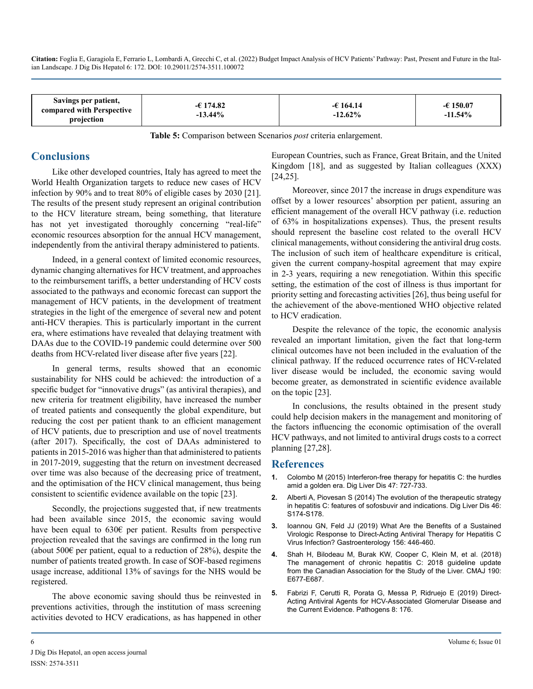| Savings per patient,<br>compared with Perspective<br>projection | $-6174.82$<br>$-13.44\%$ | $-6164.14$<br>$-12.62\%$ | $-6150.07$<br>$-11.54\%$ |
|-----------------------------------------------------------------|--------------------------|--------------------------|--------------------------|
|-----------------------------------------------------------------|--------------------------|--------------------------|--------------------------|

**Table 5:** Comparison between Scenarios *post* criteria enlargement.

#### **Conclusions**

Like other developed countries, Italy has agreed to meet the World Health Organization targets to reduce new cases of HCV infection by 90% and to treat 80% of eligible cases by 2030 [21]. The results of the present study represent an original contribution to the HCV literature stream, being something, that literature has not yet investigated thoroughly concerning "real-life" economic resources absorption for the annual HCV management, independently from the antiviral therapy administered to patients.

Indeed, in a general context of limited economic resources, dynamic changing alternatives for HCV treatment, and approaches to the reimbursement tariffs, a better understanding of HCV costs associated to the pathways and economic forecast can support the management of HCV patients, in the development of treatment strategies in the light of the emergence of several new and potent anti-HCV therapies. This is particularly important in the current era, where estimations have revealed that delaying treatment with DAAs due to the COVID-19 pandemic could determine over 500 deaths from HCV-related liver disease after five years [22].

In general terms, results showed that an economic sustainability for NHS could be achieved: the introduction of a specific budget for "innovative drugs" (as antiviral therapies), and new criteria for treatment eligibility, have increased the number of treated patients and consequently the global expenditure, but reducing the cost per patient thank to an efficient management of HCV patients, due to prescription and use of novel treatments (after 2017). Specifically, the cost of DAAs administered to patients in 2015-2016 was higher than that administered to patients in 2017-2019, suggesting that the return on investment decreased over time was also because of the decreasing price of treatment, and the optimisation of the HCV clinical management, thus being consistent to scientific evidence available on the topic [23].

Secondly, the projections suggested that, if new treatments had been available since 2015, the economic saving would have been equal to 630€ per patient. Results from perspective projection revealed that the savings are confirmed in the long run (about 500 $\epsilon$  per patient, equal to a reduction of 28%), despite the number of patients treated growth. In case of SOF-based regimens usage increase, additional 13% of savings for the NHS would be registered.

The above economic saving should thus be reinvested in preventions activities, through the institution of mass screening activities devoted to HCV eradications, as has happened in other European Countries, such as France, Great Britain, and the United Kingdom [18], and as suggested by Italian colleagues (XXX) [24,25].

Moreover, since 2017 the increase in drugs expenditure was offset by a lower resources' absorption per patient, assuring an efficient management of the overall HCV pathway (i.e. reduction of 63% in hospitalizations expenses). Thus, the present results should represent the baseline cost related to the overall HCV clinical managements, without considering the antiviral drug costs. The inclusion of such item of healthcare expenditure is critical, given the current company-hospital agreement that may expire in 2-3 years, requiring a new renegotiation. Within this specific setting, the estimation of the cost of illness is thus important for priority setting and forecasting activities [26], thus being useful for the achievement of the above-mentioned WHO objective related to HCV eradication.

Despite the relevance of the topic, the economic analysis revealed an important limitation, given the fact that long-term clinical outcomes have not been included in the evaluation of the clinical pathway. If the reduced occurrence rates of HCV-related liver disease would be included, the economic saving would become greater, as demonstrated in scientific evidence available on the topic [23].

In conclusions, the results obtained in the present study could help decision makers in the management and monitoring of the factors influencing the economic optimisation of the overall HCV pathways, and not limited to antiviral drugs costs to a correct planning [27,28].

#### **References**

- **1.** [Colombo M \(2015\) Interferon-free therapy for hepatitis C: the hurdles](https://pubmed.ncbi.nlm.nih.gov/25937625/)  [amid a golden era. Dig Liver Dis 47: 727-733.](https://pubmed.ncbi.nlm.nih.gov/25937625/)
- **2.** [Alberti A, Piovesan S \(2014\) The evolution of the therapeutic strategy](https://pubmed.ncbi.nlm.nih.gov/25458777/)  [in hepatitis C: features of sofosbuvir and indications. Dig Liver Dis 46:](https://pubmed.ncbi.nlm.nih.gov/25458777/)  [S174-S178.](https://pubmed.ncbi.nlm.nih.gov/25458777/)
- **3.** [Ioannou GN, Feld JJ \(2019\) What Are the Benefits of a Sustained](https://pubmed.ncbi.nlm.nih.gov/30367836/)  [Virologic Response to Direct-Acting Antiviral Therapy for Hepatitis C](https://pubmed.ncbi.nlm.nih.gov/30367836/) [Virus Infection? Gastroenterology 156: 446-460.](https://pubmed.ncbi.nlm.nih.gov/30367836/)
- **4.** [Shah H, Bilodeau M, Burak KW, Cooper C, Klein M, et al. \(2018\)](https://www.cmaj.ca/content/190/22/e677)  [The management of chronic hepatitis C: 2018 guideline update](https://www.cmaj.ca/content/190/22/e677)  [from the Canadian Association for the Study of the Liver. CMAJ 190:](https://www.cmaj.ca/content/190/22/e677)  [E677-E687.](https://www.cmaj.ca/content/190/22/e677)
- **5.** [Fabrizi F, Cerutti R, Porata G, Messa P, Ridruejo E \(2019\) Direct-](https://pubmed.ncbi.nlm.nih.gov/31590268/)[Acting Antiviral Agents for HCV-Associated Glomerular Disease and](https://pubmed.ncbi.nlm.nih.gov/31590268/)  [the Current Evidence. Pathogens 8: 176.](https://pubmed.ncbi.nlm.nih.gov/31590268/)